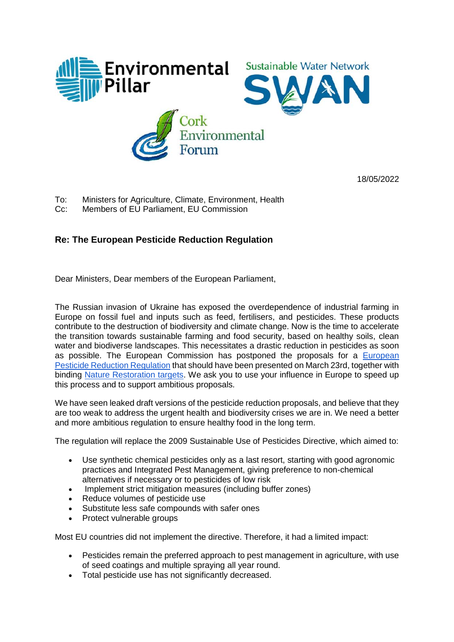

18/05/2022

- To: Ministers for Agriculture, Climate, Environment, Health
- Cc: Members of EU Parliament, EU Commission

## **Re: The European Pesticide Reduction Regulation**

Dear Ministers, Dear members of the European Parliament,

The Russian invasion of Ukraine has exposed the overdependence of industrial farming in Europe on fossil fuel and inputs such as feed, fertilisers, and pesticides. These products contribute to the destruction of biodiversity and climate change. Now is the time to accelerate the transition towards sustainable farming and food security, based on healthy soils, clean water and biodiverse landscapes. This necessitates a drastic reduction in pesticides as soon as possible. The European Commission has postponed the proposals for a [European](https://ec.europa.eu/info/law/better-regulation/have-your-say/initiatives/12413-Pesticides-sustainable-use-updated-EU-rules-_en)  [Pesticide Reduction Regulation](https://ec.europa.eu/info/law/better-regulation/have-your-say/initiatives/12413-Pesticides-sustainable-use-updated-EU-rules-_en) that should have been presented on March 23rd, together with binding [Nature Restoration targets.](https://ec.europa.eu/environment/strategy/biodiversity-strategy-2030/eu-nature-restoration-targets_en) We ask you to use your influence in Europe to speed up this process and to support ambitious proposals.

We have seen leaked draft versions of the pesticide reduction proposals, and believe that they are too weak to address the urgent health and biodiversity crises we are in. We need a better and more ambitious regulation to ensure healthy food in the long term.

The regulation will replace the 2009 Sustainable Use of Pesticides Directive, which aimed to:

- Use synthetic chemical pesticides only as a last resort, starting with good agronomic practices and Integrated Pest Management, giving preference to non-chemical alternatives if necessary or to pesticides of low risk
- Implement strict mitigation measures (including buffer zones)
- Reduce volumes of pesticide use
- Substitute less safe compounds with safer ones
- Protect vulnerable groups

Most EU countries did not implement the directive. Therefore, it had a limited impact:

- Pesticides remain the preferred approach to pest management in agriculture, with use of seed coatings and multiple spraying all year round.
- Total pesticide use has not significantly decreased.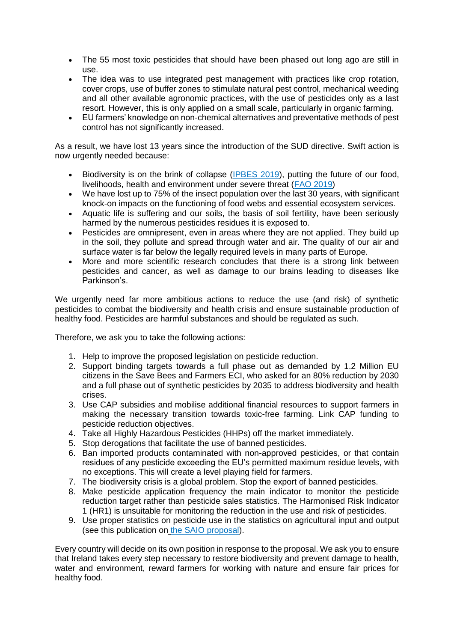- The 55 most toxic pesticides that should have been phased out long ago are still in use.
- The idea was to use integrated pest management with practices like crop rotation, cover crops, use of buffer zones to stimulate natural pest control, mechanical weeding and all other available agronomic practices, with the use of pesticides only as a last resort. However, this is only applied on a small scale, particularly in organic farming.
- EU farmers' knowledge on non-chemical alternatives and preventative methods of pest control has not significantly increased.

As a result, we have lost 13 years since the introduction of the SUD directive. Swift action is now urgently needed because:

- Biodiversity is on the brink of collapse [\(IPBES 2019\)](https://www.gov.ie/en/press-release/5e73e-have-your-say-on-the-future-of-forestry/), putting the future of our food, livelihoods, health and environment under severe threat [\(FAO 2019\)](https://www.fao.org/documents/card/fr/c/ca3129en/)
- We have lost up to 75% of the insect population over the last 30 years, with significant knock-on impacts on the functioning of food webs and essential ecosystem services.
- Aquatic life is suffering and our soils, the basis of soil fertility, have been seriously harmed by the numerous pesticides residues it is exposed to.
- Pesticides are omnipresent, even in areas where they are not applied. They build up in the soil, they pollute and spread through water and air. The quality of our air and surface water is far below the legally required levels in many parts of Europe.
- More and more scientific research concludes that there is a strong link between pesticides and cancer, as well as damage to our brains leading to diseases like Parkinson's.

We urgently need far more ambitious actions to reduce the use (and risk) of synthetic pesticides to combat the biodiversity and health crisis and ensure sustainable production of healthy food. Pesticides are harmful substances and should be regulated as such.

Therefore, we ask you to take the following actions:

- 1. Help to improve the proposed legislation on pesticide reduction.
- 2. Support binding targets towards a full phase out as demanded by 1.2 Million EU citizens in the Save Bees and Farmers ECI, who asked for an 80% reduction by 2030 and a full phase out of synthetic pesticides by 2035 to address biodiversity and health crises.
- 3. Use CAP subsidies and mobilise additional financial resources to support farmers in making the necessary transition towards toxic-free farming. Link CAP funding to pesticide reduction objectives.
- 4. Take all Highly Hazardous Pesticides (HHPs) off the market immediately.
- 5. Stop derogations that facilitate the use of banned pesticides.
- 6. Ban imported products contaminated with non-approved pesticides, or that contain residues of any pesticide exceeding the EU's permitted maximum residue levels, with no exceptions. This will create a level playing field for farmers.
- 7. The biodiversity crisis is a global problem. Stop the export of banned pesticides.
- 8. Make pesticide application frequency the main indicator to monitor the pesticide reduction target rather than pesticide sales statistics. The Harmonised Risk Indicator 1 (HR1) is unsuitable for monitoring the reduction in the use and risk of pesticides.
- 9. Use proper statistics on pesticide use in the statistics on agricultural input and output (see this publication on [the SAIO proposal\)](https://www.pan-europe.info/press-releases/2022/02/revealed-how-european-council-torpedoes-transparency-pesticide-use).

Every country will decide on its own position in response to the proposal. We ask you to ensure that Ireland takes every step necessary to restore biodiversity and prevent damage to health, water and environment, reward farmers for working with nature and ensure fair prices for healthy food.